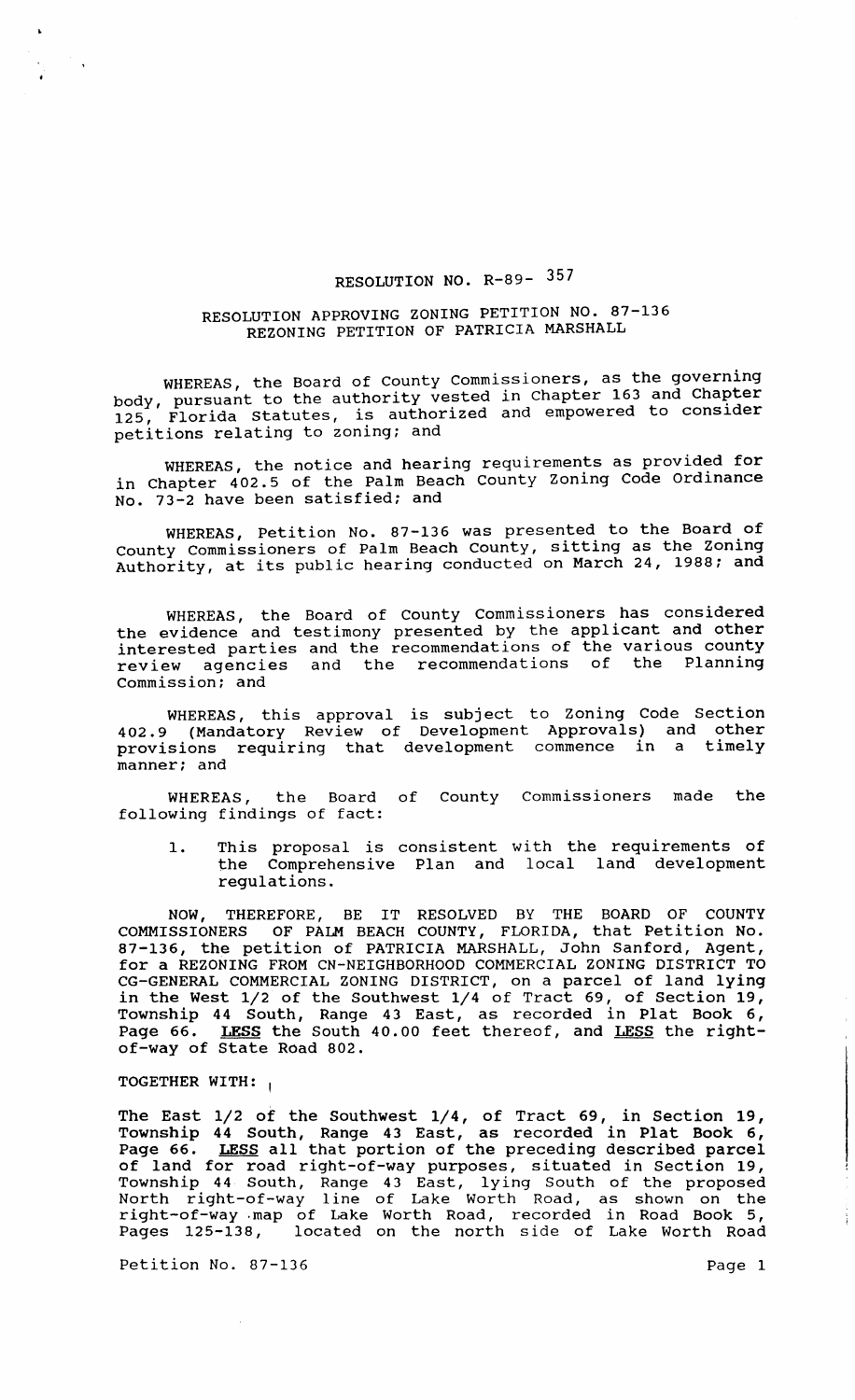## RESOLUTION NO. R-89- 357

## RESOLUTION APPROVING ZONING PETITION NO. 87-136 REZONING PETITION OF PATRICIA MARSHALL

WHEREAS, the Board of County Commissioners, as the governing body, pursuant to the authority vested in Chapter 163 and Chapter body, pursuant to the duchority vector and empowered to consider petitions relating to zoning; and

WHEREAS, the notice and hearing requirements as provided for in Chapter 402.5 of the Palm Beach County Zoning Code Ordinance No. 73-2 have been satisfied; and

WHEREAS, Petition No. 87-136 was presented to the Board of County Commissioners of Palm Beach County, sitting as the zoning Authority, at its public hearing conducted on March 24, 1988; and

WHEREAS, the Board of County Commissioners has considered the evidence and testimony presented by the applicant and other interested parties and the recommendations of the various county<br>review agencies and the recommendations of the Planning review agencies and the recommendations of commission; and

WHEREAS, this approval is subject to Zoning Code Section 402.9 (Mandatory Review of Development Approvals) and other provisions requiring that development commence in a timely manner; and

WHEREAS, the Board of County Commissioners made the following findings of fact:

1. This proposal is consistent with the requirements of the Comprehensive Plan and local land development regulations.

NOW, THEREFORE, BE IT RESOLVED BY THE BOARD OF COUNTY COMMISSIONERS OF PALM BEACH COUNTY, FLORIDA, that Petition No. 87-136, the petition of PATRICIA MARSHALL, John Sanford, Agent, for a REZONING FROM CN-NEIGHBORHOOD COMMERCIAL ZONING DISTRICT TO CG-GENERAL COMMERCIAL ZONING DISTRICT, on a parcel of land lying in the West 1/2 of the Southwest 1/4 of Tract 69, of section 19, Township 44 South, Range 43 East, as recorded in Plat Book 6, Page 66. LESS the South 40.00 feet thereof, and LESS the rightof-way of State Road 802.

## TOGETHER WITH: ,

The East 1/2 of the Southwest 1/4, of Tract 69, in section 19, Township 44 South, Range 43 East, as recorded in Plat Book 6, Page 66. LESS all that portion of the preceding described parcel algo our **manual cancer of the conditions** asserted parties. Township 44 South, Range 43 East, lying South of the proposed North right-of-way line of Lake worth Road, as shown on the right-of-way . map of Lake Worth Road, recorded in Road Book 5, Pages 125-138, located on the north side of Lake Worth Road

Petition No. 87-136 Page 1